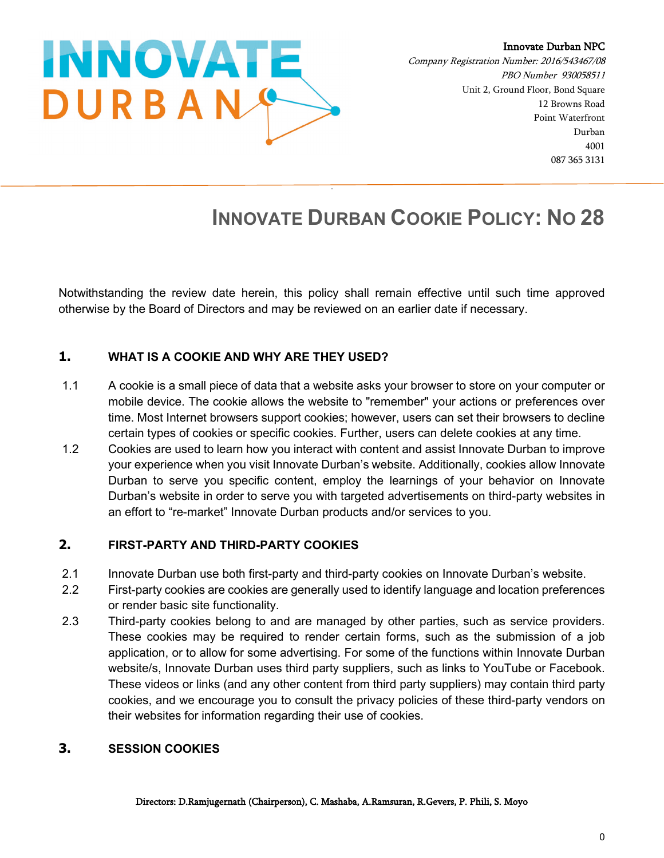

Innovate Durban NPC

Company Registration Number: 2016/543467/08 PBO Number 930058511 Unit 2, Ground Floor, Bond Square 12 Browns Road Point Waterfront Durban 4001 087 365 3131

# **INNOVATE DURBAN COOKIE POLICY: NO 28**

Notwithstanding the review date herein, this policy shall remain effective until such time approved otherwise by the Board of Directors and may be reviewed on an earlier date if necessary.

# **1. WHAT IS A COOKIE AND WHY ARE THEY USED?**

- 1.1 A cookie is a small piece of data that a website asks your browser to store on your computer or mobile device. The cookie allows the website to "remember" your actions or preferences over time. Most Internet browsers support cookies; however, users can set their browsers to decline certain types of cookies or specific cookies. Further, users can delete cookies at any time.
- 1.2 Cookies are used to learn how you interact with content and assist Innovate Durban to improve your experience when you visit Innovate Durban's website. Additionally, cookies allow Innovate Durban to serve you specific content, employ the learnings of your behavior on Innovate Durban's website in order to serve you with targeted advertisements on third-party websites in an effort to "re-market" Innovate Durban products and/or services to you.

## **2. FIRST-PARTY AND THIRD-PARTY COOKIES**

- 2.1 Innovate Durban use both first-party and third-party cookies on Innovate Durban's website.
- 2.2 First-party cookies are cookies are generally used to identify language and location preferences or render basic site functionality.
- 2.3 Third-party cookies belong to and are managed by other parties, such as service providers. These cookies may be required to render certain forms, such as the submission of a job application, or to allow for some advertising. For some of the functions within Innovate Durban website/s, Innovate Durban uses third party suppliers, such as links to YouTube or Facebook. These videos or links (and any other content from third party suppliers) may contain third party cookies, and we encourage you to consult the privacy policies of these third-party vendors on their websites for information regarding their use of cookies.

## **3. SESSION COOKIES**